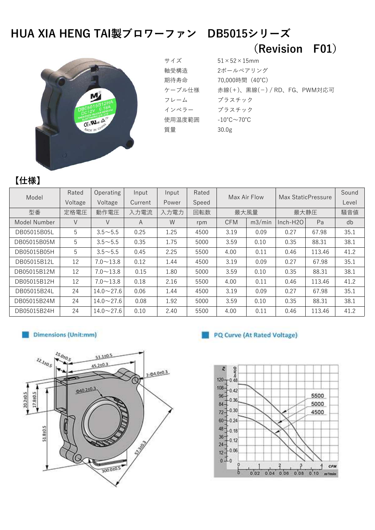# HUA XIA HENG TAI製ブロワーファン DB5015シリーズ



| サイズ    | $51 \times 52 \times 15$ mm            |
|--------|----------------------------------------|
| 軸受構造   | 2ボールベアリング                              |
| 期待寿命   | 70,000時間 (40°C)                        |
| ケーブル仕様 | 赤線(+)、黒線(-)/RD、FG、PWM対応可               |
| フレーム   | プラスチック                                 |
| インペラー  | プラスチック                                 |
| 使用温度範囲 | $-10^{\circ}$ C $\sim$ 70 $^{\circ}$ C |
| 質量     | 30.0g                                  |
|        |                                        |

(Revision F01)

## 【仕様】

| Model        | Rated   | Operating        | Input   | Input | Rated | Max Air Flow |        | Max StaticPressure |        | Sound |
|--------------|---------|------------------|---------|-------|-------|--------------|--------|--------------------|--------|-------|
|              | Voltage | Voltage          | Current | Power | Speed |              |        |                    |        | Level |
| 型番           | 定格電圧    | 動作電圧             | 入力電流    | 入力電力  | 回転数   | 最大風量         |        | 最大静圧               |        | 騒音値   |
| Model Number | V       | $\vee$           | A       | W     | rpm   | <b>CFM</b>   | m3/min | $Inch-H2O$         | Pa     | db    |
| DB05015B05L  | 5       | $3.5 - 5.5$      | 0.25    | 1.25  | 4500  | 3.19         | 0.09   | 0.27               | 67.98  | 35.1  |
| DB05015B05M  | 5       | $3.5 \sim 5.5$   | 0.35    | 1.75  | 5000  | 3.59         | 0.10   | 0.35               | 88.31  | 38.1  |
| DB05015B05H  | 5       | $3.5 - 5.5$      | 0.45    | 2.25  | 5500  | 4.00         | 0.11   | 0.46               | 113.46 | 41.2  |
| DB05015B12L  | 12      | $7.0 \sim 13.8$  | 0.12    | 1.44  | 4500  | 3.19         | 0.09   | 0.27               | 67.98  | 35.1  |
| DB05015B12M  | 12      | $7.0 \sim 13.8$  | 0.15    | 1.80  | 5000  | 3.59         | 0.10   | 0.35               | 88.31  | 38.1  |
| DB05015B12H  | 12      | $7.0 \sim 13.8$  | 0.18    | 2.16  | 5500  | 4.00         | 0.11   | 0.46               | 113.46 | 41.2  |
| DB05015B24L  | 24      | $14.0 \sim 27.6$ | 0.06    | 1.44  | 4500  | 3.19         | 0.09   | 0.27               | 67.98  | 35.1  |
| DB05015B24M  | 24      | $14.0 \sim 27.6$ | 0.08    | 1.92  | 5000  | 3.59         | 0.10   | 0.35               | 88.31  | 38.1  |
| DB05015B24H  | 24      | $14.0 \sim 27.6$ | 0.10    | 2.40  | 5500  | 4.00         | 0.11   | 0.46               | 113.46 | 41.2  |

### **Dimensions (Unit:mm)**



### PQ Curve (At Rated Voltage)